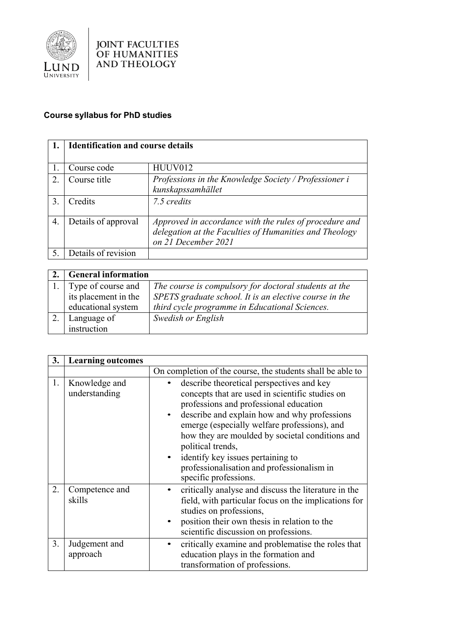

## **Course syllabus for PhD studies**

|                       | <b>Identification and course details</b> |                                                        |
|-----------------------|------------------------------------------|--------------------------------------------------------|
|                       |                                          |                                                        |
|                       | Course code                              | HUUV012                                                |
| $\mathcal{D}_{\cdot}$ | Course title                             | Professions in the Knowledge Society / Professioner i  |
|                       |                                          | kunskapssamhället                                      |
| 3.                    | Credits                                  | 7.5 credits                                            |
|                       |                                          |                                                        |
| 4.                    | Details of approval                      | Approved in accordance with the rules of procedure and |
|                       |                                          | delegation at the Faculties of Humanities and Theology |
|                       |                                          | on 21 December 2021                                    |
|                       | Details of revision                      |                                                        |

| <b>General information</b> |                                                        |
|----------------------------|--------------------------------------------------------|
| Type of course and         | The course is compulsory for doctoral students at the  |
| its placement in the       | SPETS graduate school. It is an elective course in the |
| educational system         | third cycle programme in Educational Sciences.         |
| Language of                | Swedish or English                                     |
| instruction                |                                                        |

| 3. | <b>Learning outcomes</b>       |                                                                                                                                                                                                                                                                                                                                                                                                                            |
|----|--------------------------------|----------------------------------------------------------------------------------------------------------------------------------------------------------------------------------------------------------------------------------------------------------------------------------------------------------------------------------------------------------------------------------------------------------------------------|
|    |                                | On completion of the course, the students shall be able to                                                                                                                                                                                                                                                                                                                                                                 |
| 1. | Knowledge and<br>understanding | describe theoretical perspectives and key<br>concepts that are used in scientific studies on<br>professions and professional education<br>describe and explain how and why professions<br>emerge (especially welfare professions), and<br>how they are moulded by societal conditions and<br>political trends,<br>identify key issues pertaining to<br>professionalisation and professionalism in<br>specific professions. |
| 2. | Competence and<br>skills       | critically analyse and discuss the literature in the<br>field, with particular focus on the implications for<br>studies on professions,<br>position their own thesis in relation to the<br>scientific discussion on professions.                                                                                                                                                                                           |
| 3. | Judgement and<br>approach      | critically examine and problematise the roles that<br>education plays in the formation and<br>transformation of professions.                                                                                                                                                                                                                                                                                               |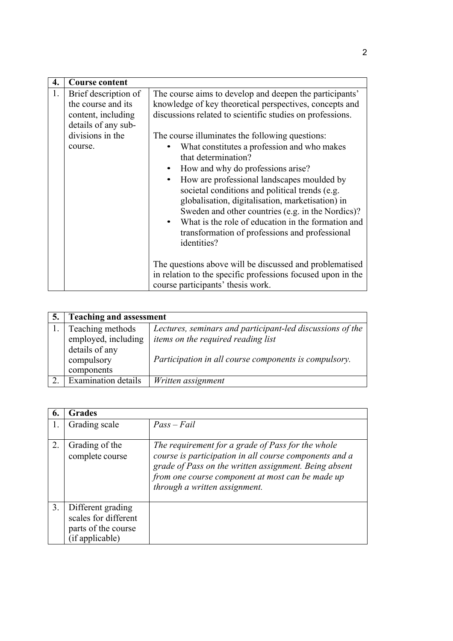| 4. | <b>Course content</b>                                                                   |                                                                                                                                                                                                                                                                                                                                                                                                                                                                                                         |
|----|-----------------------------------------------------------------------------------------|---------------------------------------------------------------------------------------------------------------------------------------------------------------------------------------------------------------------------------------------------------------------------------------------------------------------------------------------------------------------------------------------------------------------------------------------------------------------------------------------------------|
| 1. | Brief description of<br>the course and its<br>content, including<br>details of any sub- | The course aims to develop and deepen the participants'<br>knowledge of key theoretical perspectives, concepts and<br>discussions related to scientific studies on professions.                                                                                                                                                                                                                                                                                                                         |
|    | divisions in the<br>course.                                                             | The course illuminates the following questions:<br>What constitutes a profession and who makes<br>that determination?<br>How and why do professions arise?<br>How are professional landscapes moulded by<br>$\bullet$<br>societal conditions and political trends (e.g.<br>globalisation, digitalisation, marketisation) in<br>Sweden and other countries (e.g. in the Nordics)?<br>What is the role of education in the formation and<br>transformation of professions and professional<br>identities? |
|    |                                                                                         | The questions above will be discussed and problematised<br>in relation to the specific professions focused upon in the<br>course participants' thesis work.                                                                                                                                                                                                                                                                                                                                             |

| 5. | <b>Teaching and assessment</b> |                                                           |
|----|--------------------------------|-----------------------------------------------------------|
|    | Teaching methods               | Lectures, seminars and participant-led discussions of the |
|    | employed, including            | <i>items on the required reading list</i>                 |
|    | details of any                 |                                                           |
|    | compulsory                     | Participation in all course components is compulsory.     |
|    | components                     |                                                           |
|    | Examination details            | Written assignment                                        |

| 6. | Grades                                                                              |                                                                                                                                                                                                                                                           |
|----|-------------------------------------------------------------------------------------|-----------------------------------------------------------------------------------------------------------------------------------------------------------------------------------------------------------------------------------------------------------|
|    | Grading scale                                                                       | $Pass-Fail$                                                                                                                                                                                                                                               |
| 2. | Grading of the<br>complete course                                                   | The requirement for a grade of Pass for the whole<br>course is participation in all course components and a<br>grade of Pass on the written assignment. Being absent<br>from one course component at most can be made up<br>through a written assignment. |
| 3. | Different grading<br>scales for different<br>parts of the course<br>(if applicable) |                                                                                                                                                                                                                                                           |